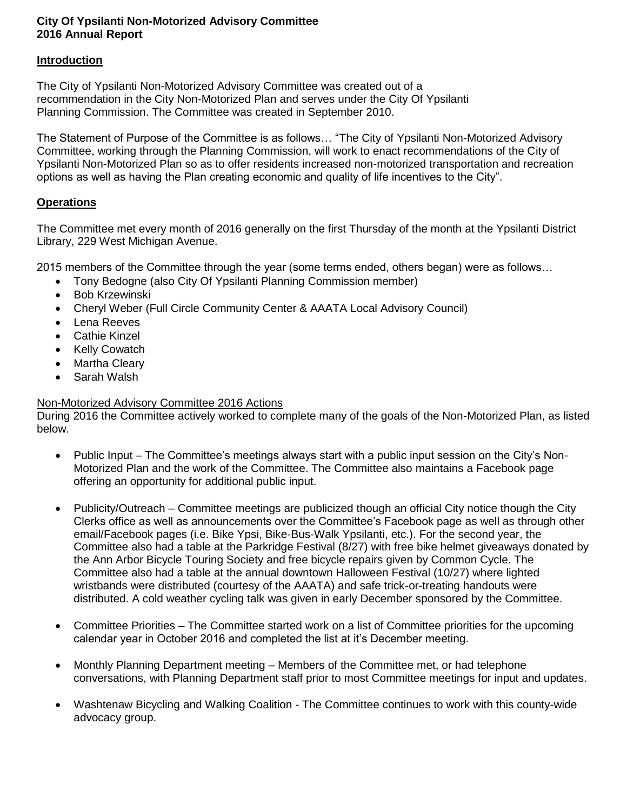## **City Of Ypsilanti Non-Motorized Advisory Committee 2016 Annual Report**

## **Introduction**

The City of Ypsilanti Non-Motorized Advisory Committee was created out of a recommendation in the City Non-Motorized Plan and serves under the City Of Ypsilanti Planning Commission. The Committee was created in September 2010.

The Statement of Purpose of the Committee is as follows… "The City of Ypsilanti Non-Motorized Advisory Committee, working through the Planning Commission, will work to enact recommendations of the City of Ypsilanti Non-Motorized Plan so as to offer residents increased non-motorized transportation and recreation options as well as having the Plan creating economic and quality of life incentives to the City".

## **Operations**

The Committee met every month of 2016 generally on the first Thursday of the month at the Ypsilanti District Library, 229 West Michigan Avenue.

2015 members of the Committee through the year (some terms ended, others began) were as follows…

- Tony Bedogne (also City Of Ypsilanti Planning Commission member)
- Bob Krzewinski
- Cheryl Weber (Full Circle Community Center & AAATA Local Advisory Council)
- Lena Reeves
- Cathie Kinzel
- Kelly Cowatch
- Martha Cleary
- Sarah Walsh

## Non-Motorized Advisory Committee 2016 Actions

During 2016 the Committee actively worked to complete many of the goals of the Non-Motorized Plan, as listed below.

- Public Input The Committee's meetings always start with a public input session on the City's Non-Motorized Plan and the work of the Committee. The Committee also maintains a Facebook page offering an opportunity for additional public input.
- Publicity/Outreach Committee meetings are publicized though an official City notice though the City Clerks office as well as announcements over the Committee's Facebook page as well as through other email/Facebook pages (i.e. Bike Ypsi, Bike-Bus-Walk Ypsilanti, etc.). For the second year, the Committee also had a table at the Parkridge Festival (8/27) with free bike helmet giveaways donated by the Ann Arbor Bicycle Touring Society and free bicycle repairs given by Common Cycle. The Committee also had a table at the annual downtown Halloween Festival (10/27) where lighted wristbands were distributed (courtesy of the AAATA) and safe trick-or-treating handouts were distributed. A cold weather cycling talk was given in early December sponsored by the Committee.
- Committee Priorities The Committee started work on a list of Committee priorities for the upcoming calendar year in October 2016 and completed the list at it's December meeting.
- Monthly Planning Department meeting Members of the Committee met, or had telephone conversations, with Planning Department staff prior to most Committee meetings for input and updates.
- Washtenaw Bicycling and Walking Coalition The Committee continues to work with this county-wide advocacy group.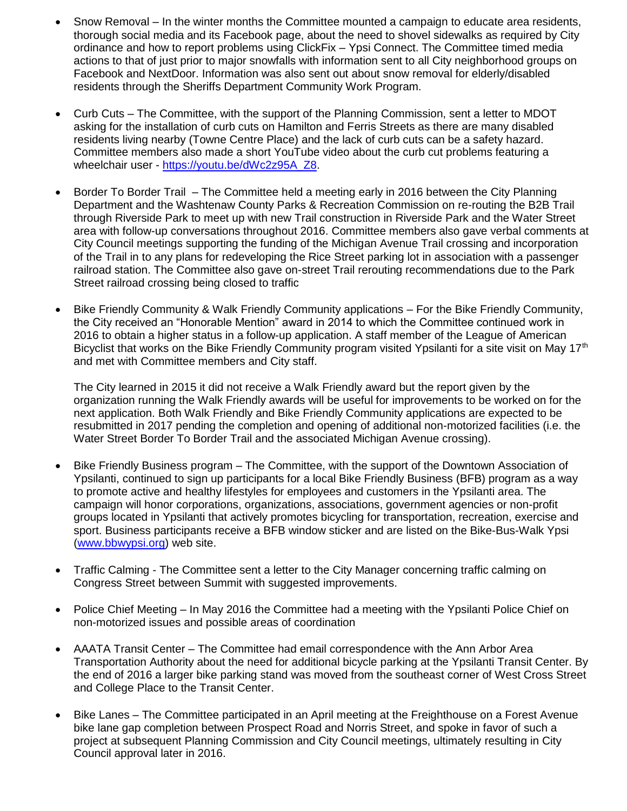- Snow Removal In the winter months the Committee mounted a campaign to educate area residents, thorough social media and its Facebook page, about the need to shovel sidewalks as required by City ordinance and how to report problems using ClickFix – Ypsi Connect. The Committee timed media actions to that of just prior to major snowfalls with information sent to all City neighborhood groups on Facebook and NextDoor. Information was also sent out about snow removal for elderly/disabled residents through the Sheriffs Department Community Work Program.
- Curb Cuts The Committee, with the support of the Planning Commission, sent a letter to MDOT asking for the installation of curb cuts on Hamilton and Ferris Streets as there are many disabled residents living nearby (Towne Centre Place) and the lack of curb cuts can be a safety hazard. Committee members also made a short YouTube video about the curb cut problems featuring a wheelchair user - [https://youtu.be/dWc2z95A\\_Z8.](https://youtu.be/dWc2z95A_Z8)
- Border To Border Trail The Committee held a meeting early in 2016 between the City Planning Department and the Washtenaw County Parks & Recreation Commission on re-routing the B2B Trail through Riverside Park to meet up with new Trail construction in Riverside Park and the Water Street area with follow-up conversations throughout 2016. Committee members also gave verbal comments at City Council meetings supporting the funding of the Michigan Avenue Trail crossing and incorporation of the Trail in to any plans for redeveloping the Rice Street parking lot in association with a passenger railroad station. The Committee also gave on-street Trail rerouting recommendations due to the Park Street railroad crossing being closed to traffic
- Bike Friendly Community & Walk Friendly Community applications For the Bike Friendly Community, the City received an "Honorable Mention" award in 2014 to which the Committee continued work in 2016 to obtain a higher status in a follow-up application. A staff member of the League of American Bicyclist that works on the Bike Friendly Community program visited Ypsilanti for a site visit on May 17<sup>th</sup> and met with Committee members and City staff.

The City learned in 2015 it did not receive a Walk Friendly award but the report given by the organization running the Walk Friendly awards will be useful for improvements to be worked on for the next application. Both Walk Friendly and Bike Friendly Community applications are expected to be resubmitted in 2017 pending the completion and opening of additional non-motorized facilities (i.e. the Water Street Border To Border Trail and the associated Michigan Avenue crossing).

- Bike Friendly Business program The Committee, with the support of the Downtown Association of Ypsilanti, continued to sign up participants for a local Bike Friendly Business (BFB) program as a way to promote active and healthy lifestyles for employees and customers in the Ypsilanti area. The campaign will honor corporations, organizations, associations, government agencies or non-profit groups located in Ypsilanti that actively promotes bicycling for transportation, recreation, exercise and sport. Business participants receive a BFB window sticker and are listed on the Bike-Bus-Walk Ypsi [\(www.bbwypsi.org\)](http://www.bbwypsi.org/) web site.
- Traffic Calming The Committee sent a letter to the City Manager concerning traffic calming on Congress Street between Summit with suggested improvements.
- Police Chief Meeting In May 2016 the Committee had a meeting with the Ypsilanti Police Chief on non-motorized issues and possible areas of coordination
- AAATA Transit Center The Committee had email correspondence with the Ann Arbor Area Transportation Authority about the need for additional bicycle parking at the Ypsilanti Transit Center. By the end of 2016 a larger bike parking stand was moved from the southeast corner of West Cross Street and College Place to the Transit Center.
- Bike Lanes The Committee participated in an April meeting at the Freighthouse on a Forest Avenue bike lane gap completion between Prospect Road and Norris Street, and spoke in favor of such a project at subsequent Planning Commission and City Council meetings, ultimately resulting in City Council approval later in 2016.